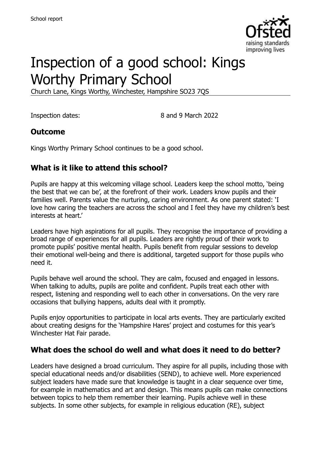

# Inspection of a good school: Kings Worthy Primary School

Church Lane, Kings Worthy, Winchester, Hampshire SO23 7QS

Inspection dates: 8 and 9 March 2022

#### **Outcome**

Kings Worthy Primary School continues to be a good school.

### **What is it like to attend this school?**

Pupils are happy at this welcoming village school. Leaders keep the school motto, 'being the best that we can be', at the forefront of their work. Leaders know pupils and their families well. Parents value the nurturing, caring environment. As one parent stated: 'I love how caring the teachers are across the school and I feel they have my children's best interests at heart.'

Leaders have high aspirations for all pupils. They recognise the importance of providing a broad range of experiences for all pupils. Leaders are rightly proud of their work to promote pupils' positive mental health. Pupils benefit from regular sessions to develop their emotional well-being and there is additional, targeted support for those pupils who need it.

Pupils behave well around the school. They are calm, focused and engaged in lessons. When talking to adults, pupils are polite and confident. Pupils treat each other with respect, listening and responding well to each other in conversations. On the very rare occasions that bullying happens, adults deal with it promptly.

Pupils enjoy opportunities to participate in local arts events. They are particularly excited about creating designs for the 'Hampshire Hares' project and costumes for this year's Winchester Hat Fair parade.

#### **What does the school do well and what does it need to do better?**

Leaders have designed a broad curriculum. They aspire for all pupils, including those with special educational needs and/or disabilities (SEND), to achieve well. More experienced subject leaders have made sure that knowledge is taught in a clear sequence over time, for example in mathematics and art and design. This means pupils can make connections between topics to help them remember their learning. Pupils achieve well in these subjects. In some other subjects, for example in religious education (RE), subject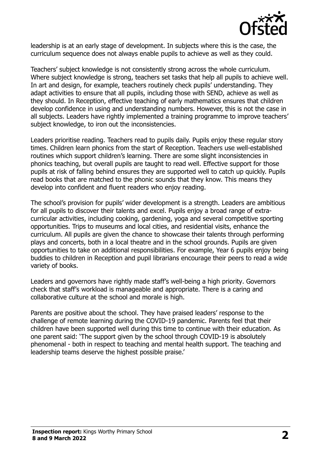

leadership is at an early stage of development. In subjects where this is the case, the curriculum sequence does not always enable pupils to achieve as well as they could.

Teachers' subject knowledge is not consistently strong across the whole curriculum. Where subject knowledge is strong, teachers set tasks that help all pupils to achieve well. In art and design, for example, teachers routinely check pupils' understanding. They adapt activities to ensure that all pupils, including those with SEND, achieve as well as they should. In Reception, effective teaching of early mathematics ensures that children develop confidence in using and understanding numbers. However, this is not the case in all subjects. Leaders have rightly implemented a training programme to improve teachers' subject knowledge, to iron out the inconsistencies.

Leaders prioritise reading. Teachers read to pupils daily. Pupils enjoy these regular story times. Children learn phonics from the start of Reception. Teachers use well-established routines which support children's learning. There are some slight inconsistencies in phonics teaching, but overall pupils are taught to read well. Effective support for those pupils at risk of falling behind ensures they are supported well to catch up quickly. Pupils read books that are matched to the phonic sounds that they know. This means they develop into confident and fluent readers who enjoy reading.

The school's provision for pupils' wider development is a strength. Leaders are ambitious for all pupils to discover their talents and excel. Pupils enjoy a broad range of extracurricular activities, including cooking, gardening, yoga and several competitive sporting opportunities. Trips to museums and local cities, and residential visits, enhance the curriculum. All pupils are given the chance to showcase their talents through performing plays and concerts, both in a local theatre and in the school grounds. Pupils are given opportunities to take on additional responsibilities. For example, Year 6 pupils enjoy being buddies to children in Reception and pupil librarians encourage their peers to read a wide variety of books.

Leaders and governors have rightly made staff's well-being a high priority. Governors check that staff's workload is manageable and appropriate. There is a caring and collaborative culture at the school and morale is high.

Parents are positive about the school. They have praised leaders' response to the challenge of remote learning during the COVID-19 pandemic. Parents feel that their children have been supported well during this time to continue with their education. As one parent said: 'The support given by the school through COVID-19 is absolutely phenomenal - both in respect to teaching and mental health support. The teaching and leadership teams deserve the highest possible praise.'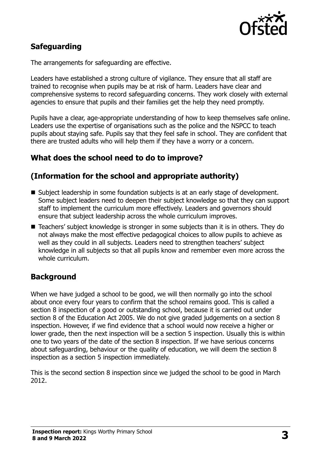

# **Safeguarding**

The arrangements for safeguarding are effective.

Leaders have established a strong culture of vigilance. They ensure that all staff are trained to recognise when pupils may be at risk of harm. Leaders have clear and comprehensive systems to record safeguarding concerns. They work closely with external agencies to ensure that pupils and their families get the help they need promptly.

Pupils have a clear, age-appropriate understanding of how to keep themselves safe online. Leaders use the expertise of organisations such as the police and the NSPCC to teach pupils about staying safe. Pupils say that they feel safe in school. They are confident that there are trusted adults who will help them if they have a worry or a concern.

### **What does the school need to do to improve?**

# **(Information for the school and appropriate authority)**

- Subject leadership in some foundation subjects is at an early stage of development. Some subject leaders need to deepen their subject knowledge so that they can support staff to implement the curriculum more effectively. Leaders and governors should ensure that subject leadership across the whole curriculum improves.
- Teachers' subject knowledge is stronger in some subjects than it is in others. They do not always make the most effective pedagogical choices to allow pupils to achieve as well as they could in all subjects. Leaders need to strengthen teachers' subject knowledge in all subjects so that all pupils know and remember even more across the whole curriculum.

# **Background**

When we have judged a school to be good, we will then normally go into the school about once every four years to confirm that the school remains good. This is called a section 8 inspection of a good or outstanding school, because it is carried out under section 8 of the Education Act 2005. We do not give graded judgements on a section 8 inspection. However, if we find evidence that a school would now receive a higher or lower grade, then the next inspection will be a section 5 inspection. Usually this is within one to two years of the date of the section 8 inspection. If we have serious concerns about safeguarding, behaviour or the quality of education, we will deem the section 8 inspection as a section 5 inspection immediately.

This is the second section 8 inspection since we judged the school to be good in March 2012.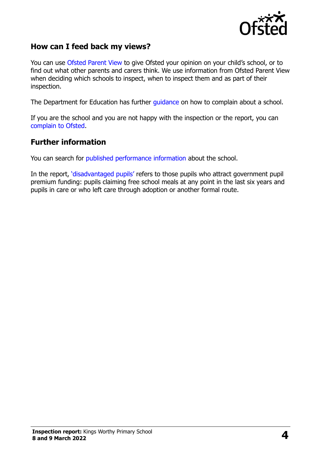

#### **How can I feed back my views?**

You can use [Ofsted Parent View](https://parentview.ofsted.gov.uk/) to give Ofsted your opinion on your child's school, or to find out what other parents and carers think. We use information from Ofsted Parent View when deciding which schools to inspect, when to inspect them and as part of their inspection.

The Department for Education has further [guidance](http://www.gov.uk/complain-about-school) on how to complain about a school.

If you are the school and you are not happy with the inspection or the report, you can [complain to Ofsted.](https://www.gov.uk/complain-ofsted-report)

#### **Further information**

You can search for [published performance information](http://www.compare-school-performance.service.gov.uk/) about the school.

In the report, '[disadvantaged pupils](http://www.gov.uk/guidance/pupil-premium-information-for-schools-and-alternative-provision-settings)' refers to those pupils who attract government pupil premium funding: pupils claiming free school meals at any point in the last six years and pupils in care or who left care through adoption or another formal route.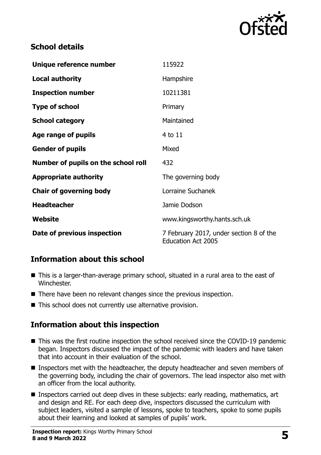

# **School details**

| Unique reference number             | 115922                                                               |
|-------------------------------------|----------------------------------------------------------------------|
| <b>Local authority</b>              | Hampshire                                                            |
| <b>Inspection number</b>            | 10211381                                                             |
| <b>Type of school</b>               | Primary                                                              |
| <b>School category</b>              | Maintained                                                           |
| Age range of pupils                 | 4 to 11                                                              |
| <b>Gender of pupils</b>             | Mixed                                                                |
| Number of pupils on the school roll | 432                                                                  |
| <b>Appropriate authority</b>        | The governing body                                                   |
| <b>Chair of governing body</b>      | Lorraine Suchanek                                                    |
| <b>Headteacher</b>                  | Jamie Dodson                                                         |
| Website                             | www.kingsworthy.hants.sch.uk                                         |
| Date of previous inspection         | 7 February 2017, under section 8 of the<br><b>Education Act 2005</b> |

# **Information about this school**

- This is a larger-than-average primary school, situated in a rural area to the east of Winchester.
- There have been no relevant changes since the previous inspection.
- This school does not currently use alternative provision.

# **Information about this inspection**

- This was the first routine inspection the school received since the COVID-19 pandemic began. Inspectors discussed the impact of the pandemic with leaders and have taken that into account in their evaluation of the school.
- **Inspectors met with the headteacher, the deputy headteacher and seven members of** the governing body, including the chair of governors. The lead inspector also met with an officer from the local authority.
- **Inspectors carried out deep dives in these subjects: early reading, mathematics, art** and design and RE. For each deep dive, inspectors discussed the curriculum with subject leaders, visited a sample of lessons, spoke to teachers, spoke to some pupils about their learning and looked at samples of pupils' work.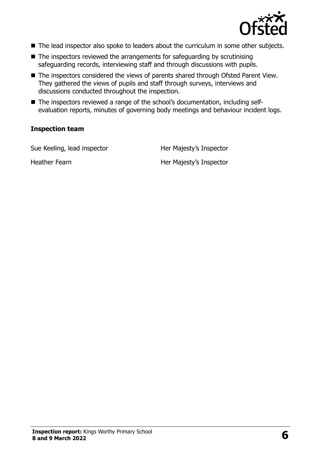

- The lead inspector also spoke to leaders about the curriculum in some other subjects.
- $\blacksquare$  The inspectors reviewed the arrangements for safeguarding by scrutinising safeguarding records, interviewing staff and through discussions with pupils.
- The inspectors considered the views of parents shared through Ofsted Parent View. They gathered the views of pupils and staff through surveys, interviews and discussions conducted throughout the inspection.
- The inspectors reviewed a range of the school's documentation, including selfevaluation reports, minutes of governing body meetings and behaviour incident logs.

#### **Inspection team**

Sue Keeling, lead inspector **Her Majesty's Inspector** 

Heather Fearn Her Majesty's Inspector